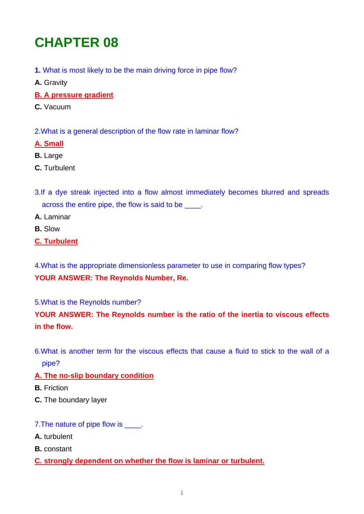# **CHAPTER 08**

- **1.** What is most likely to be the main driving force in pipe flow?
- **A.** Gravity
- **B. A pressure gradient**
- **C.** Vacuum

2.What is a general description of the flow rate in laminar flow?

#### **A. Small**

- **B.** Large
- **C.** Turbulent
- 3.If a dye streak injected into a flow almost immediately becomes blurred and spreads across the entire pipe, the flow is said to be  $\qquad$ .
- **A.** Laminar
- **B.** Slow

## **C. Turbulent**

4.What is the appropriate dimensionless parameter to use in comparing flow types? **YOUR ANSWER: The Reynolds Number, Re.** 

5.What is the Reynolds number?

## **YOUR ANSWER: The Reynolds number is the ratio of the inertia to viscous effects in the flow.**

6.What is another term for the viscous effects that cause a fluid to stick to the wall of a pipe?

## **A. The no-slip boundary condition**

- **B.** Friction
- **C.** The boundary layer
- 7. The nature of pipe flow is  $\qquad$ .
- **A.** turbulent
- **B.** constant

## **C. strongly dependent on whether the flow is laminar or turbulent.**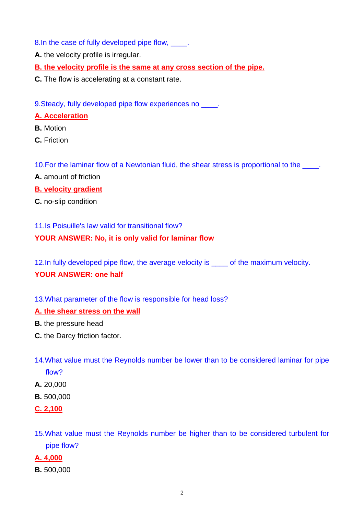8.In the case of fully developed pipe flow, \_\_\_\_.

**A.** the velocity profile is irregular.

**B. the velocity profile is the same at any cross section of the pipe.**

**C.** The flow is accelerating at a constant rate.

9. Steady, fully developed pipe flow experiences no  $\blacksquare$ .

## **A. Acceleration**

- **B.** Motion
- **C.** Friction

10. For the laminar flow of a Newtonian fluid, the shear stress is proportional to the

- **A.** amount of friction
- **B. velocity gradient**
- **C.** no-slip condition

11.Is Poisuille's law valid for transitional flow?

## **YOUR ANSWER: No, it is only valid for laminar flow**

12.In fully developed pipe flow, the average velocity is \_\_\_\_ of the maximum velocity.

## **YOUR ANSWER: one half**

13.What parameter of the flow is responsible for head loss?

## **A. the shear stress on the wall**

- **B.** the pressure head
- **C.** the Darcy friction factor.
- 14.What value must the Reynolds number be lower than to be considered laminar for pipe flow?
- **A.** 20,000
- **B.** 500,000
- **C. 2,100**
- 15.What value must the Reynolds number be higher than to be considered turbulent for pipe flow?
- **A. 4,000**
- **B.** 500,000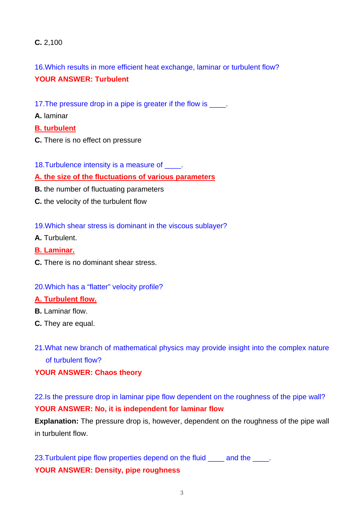## **C.** 2,100

16.Which results in more efficient heat exchange, laminar or turbulent flow?

## **YOUR ANSWER: Turbulent**

- 17. The pressure drop in a pipe is greater if the flow is \_\_\_\_.
- **A.** laminar

#### **B. turbulent**

- **C.** There is no effect on pressure
- 18. Turbulence intensity is a measure of \_\_\_\_.
- **A. the size of the fluctuations of various parameters**
- **B.** the number of fluctuating parameters
- **C.** the velocity of the turbulent flow
- 19.Which shear stress is dominant in the viscous sublayer?
- **A.** Turbulent.
- **B. Laminar.**
- **C.** There is no dominant shear stress.

## 20.Which has a "flatter" velocity profile?

#### **A. Turbulent flow.**

- **B.** Laminar flow.
- **C.** They are equal.
- 21.What new branch of mathematical physics may provide insight into the complex nature of turbulent flow?

## **YOUR ANSWER: Chaos theory**

22.Is the pressure drop in laminar pipe flow dependent on the roughness of the pipe wall? **YOUR ANSWER: No, it is independent for laminar flow** 

**Explanation:** The pressure drop is, however, dependent on the roughness of the pipe wall in turbulent flow.

23. Turbulent pipe flow properties depend on the fluid \_\_\_\_\_ and the \_\_\_\_. **YOUR ANSWER: Density, pipe roughness**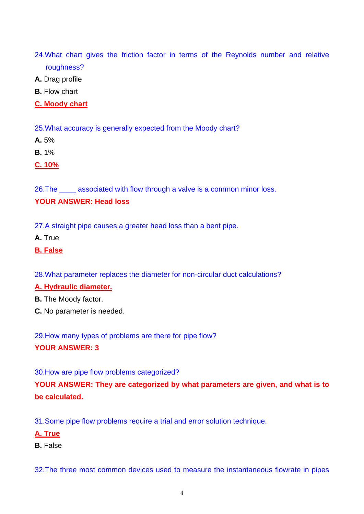- 24.What chart gives the friction factor in terms of the Reynolds number and relative roughness?
- **A.** Drag profile
- **B.** Flow chart
- **C. Moody chart**

25.What accuracy is generally expected from the Moody chart?

- **A.** 5%
- **B.** 1%
- **C. 10%**

26.The \_\_\_\_ associated with flow through a valve is a common minor loss.

## **YOUR ANSWER: Head loss**

27.A straight pipe causes a greater head loss than a bent pipe.

- **A.** True
- **B. False**
- 28.What parameter replaces the diameter for non-circular duct calculations?

## **A. Hydraulic diameter.**

- **B.** The Moody factor.
- **C.** No parameter is needed.

29.How many types of problems are there for pipe flow? **YOUR ANSWER: 3** 

30.How are pipe flow problems categorized?

**YOUR ANSWER: They are categorized by what parameters are given, and what is to be calculated.** 

31.Some pipe flow problems require a trial and error solution technique.

- **A. True**
- **B.** False

32.The three most common devices used to measure the instantaneous flowrate in pipes